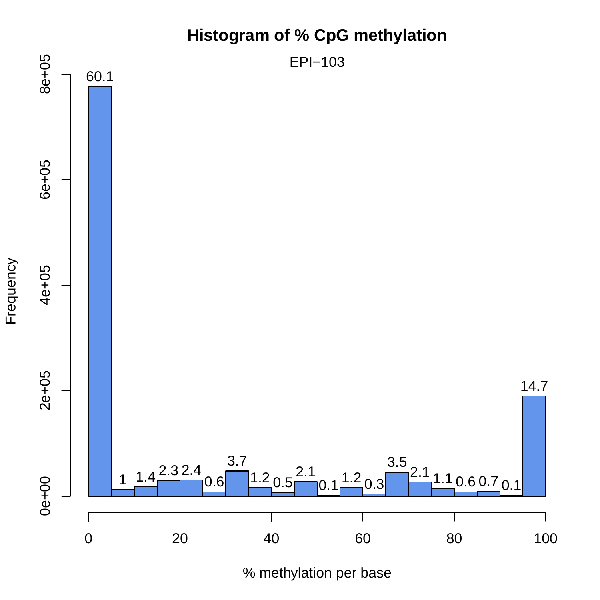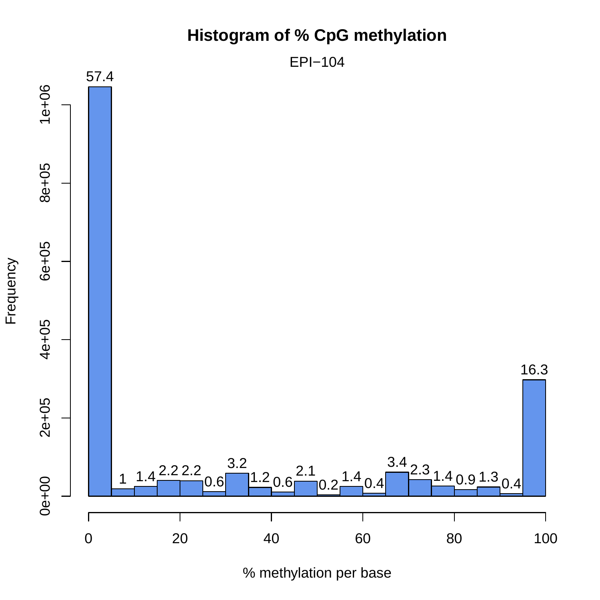EPI−104



% methylation per base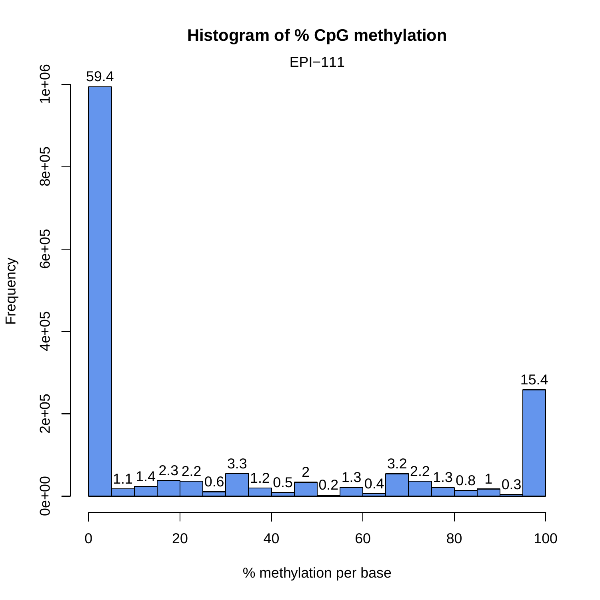

% methylation per base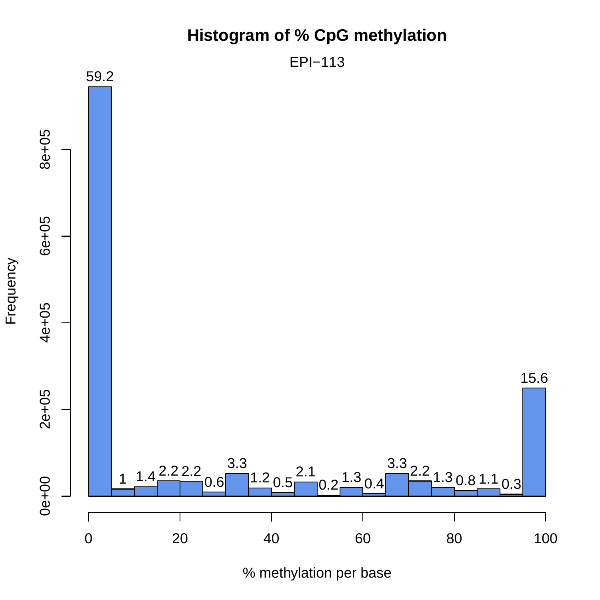

% methylation per base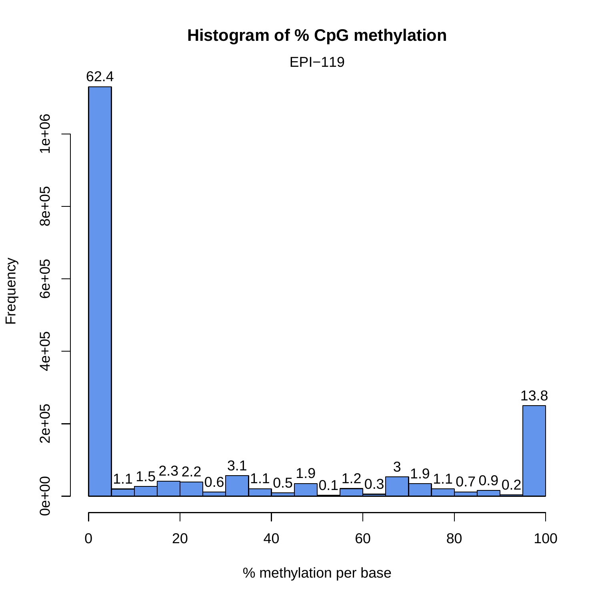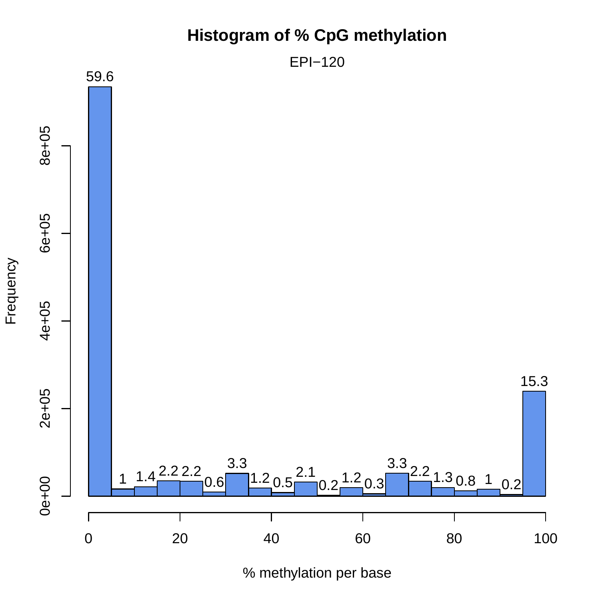

% methylation per base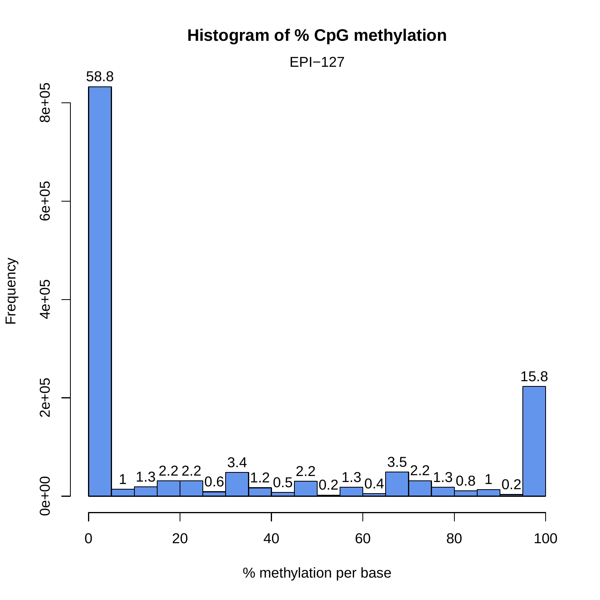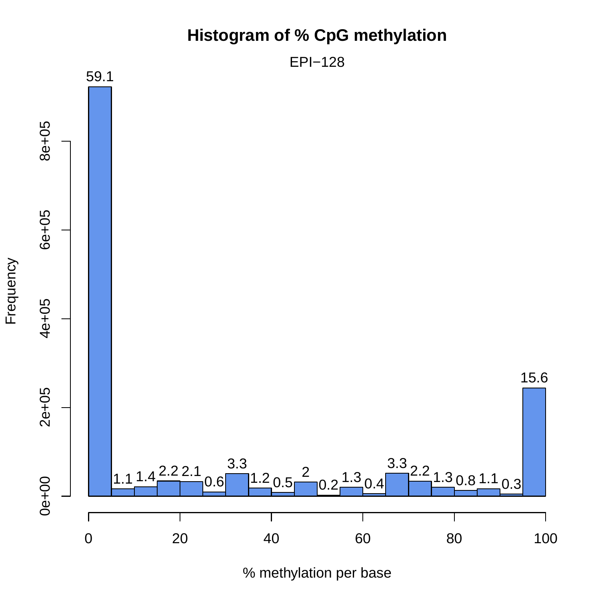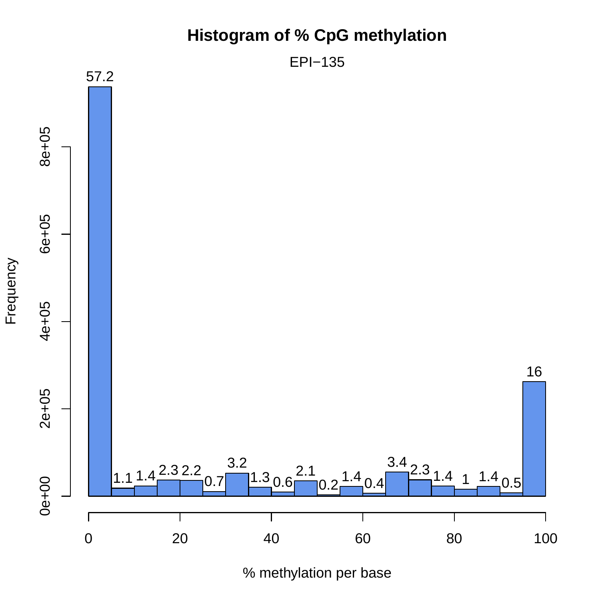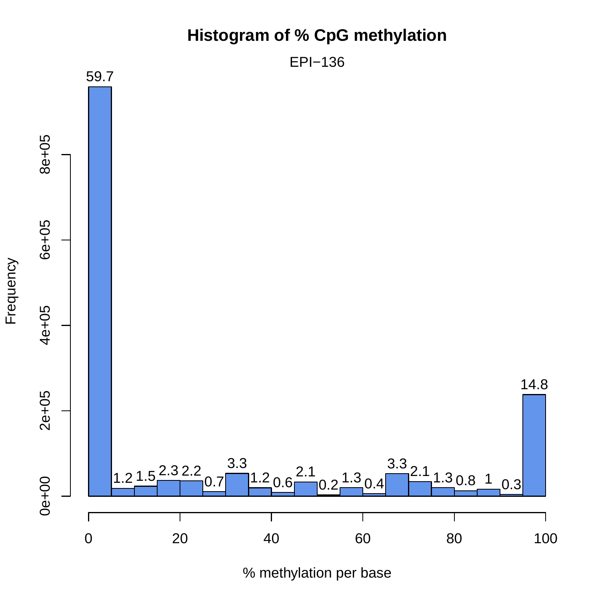

% methylation per base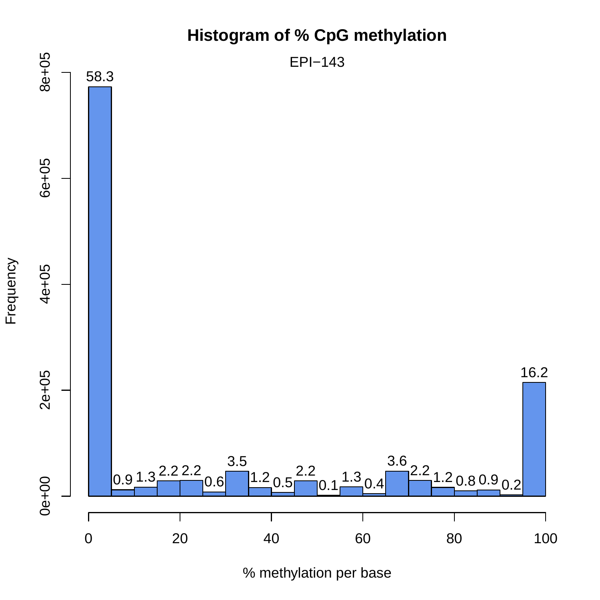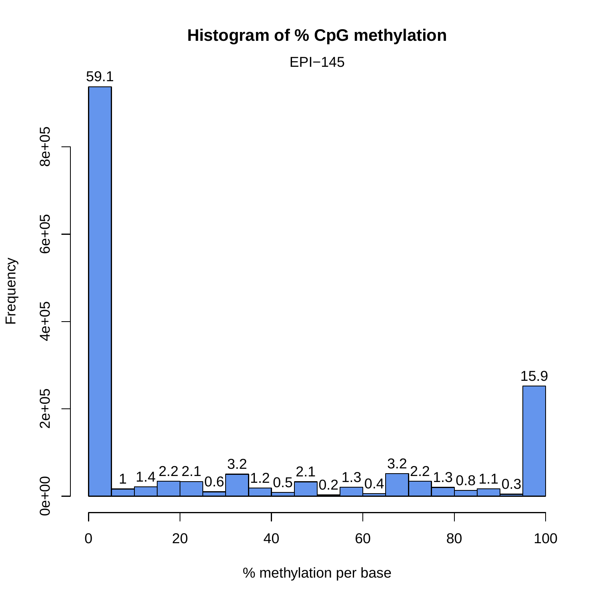

EPI−145



% methylation per base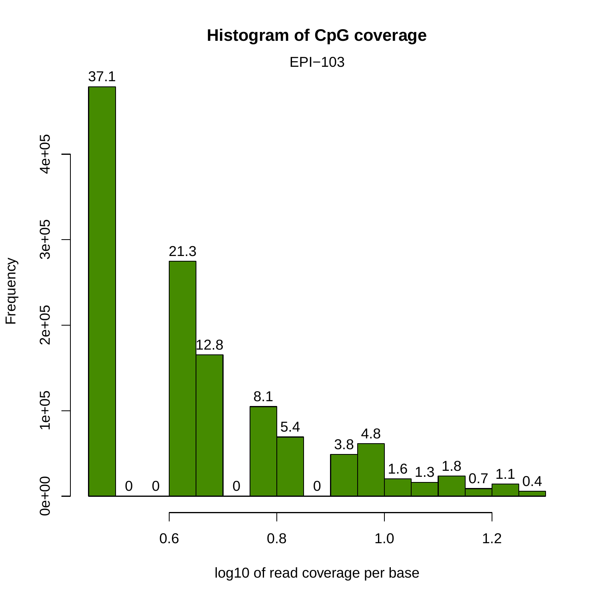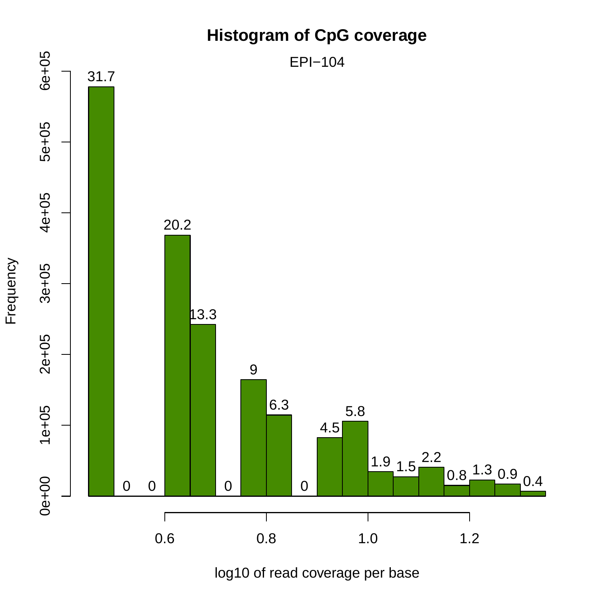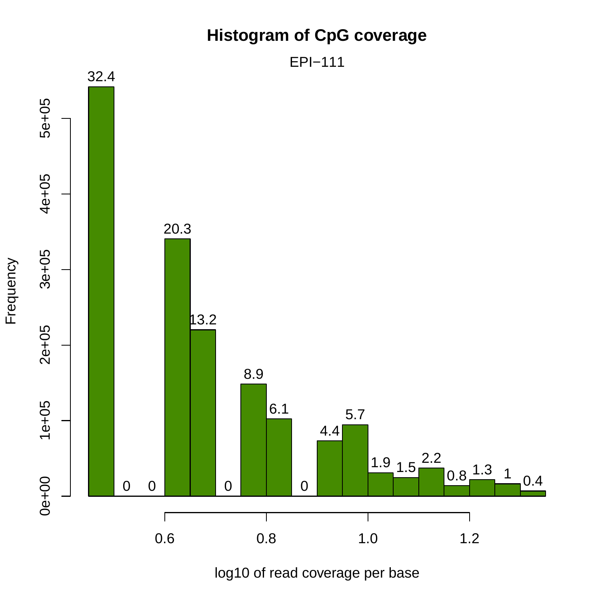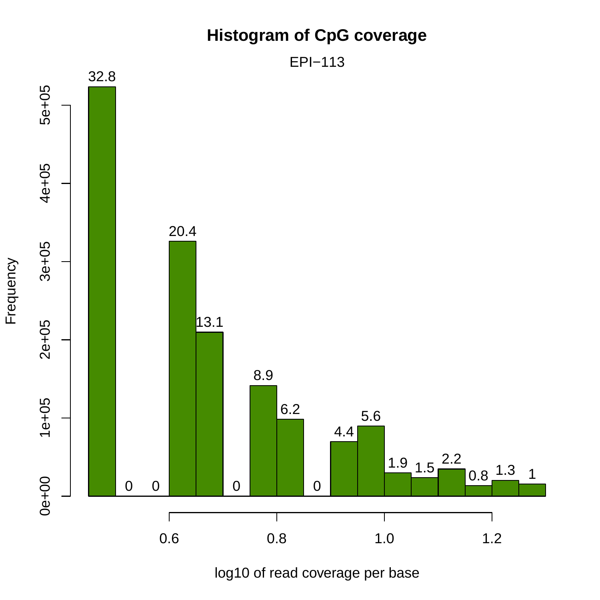

log10 of read coverage per base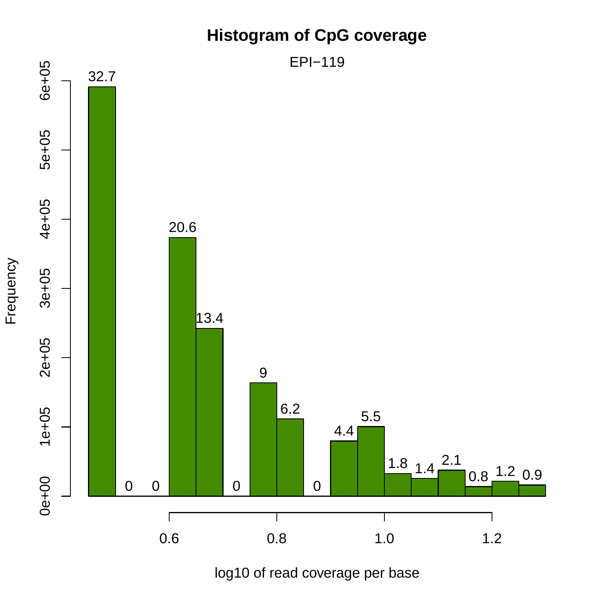### **Histogram of CpG coverage**



log10 of read coverage per base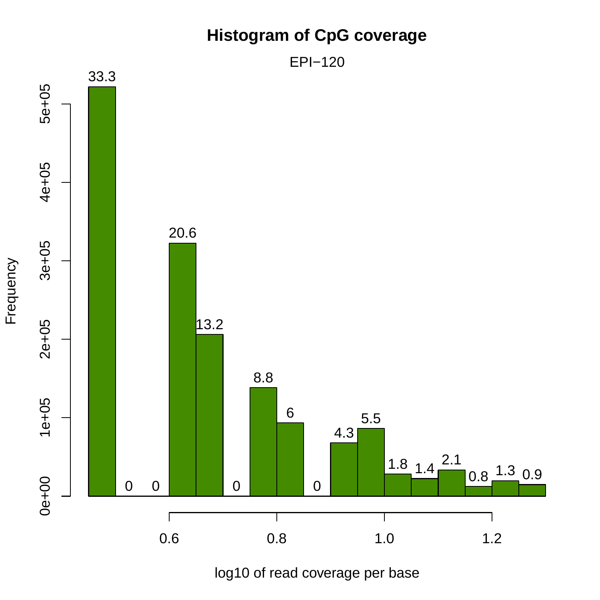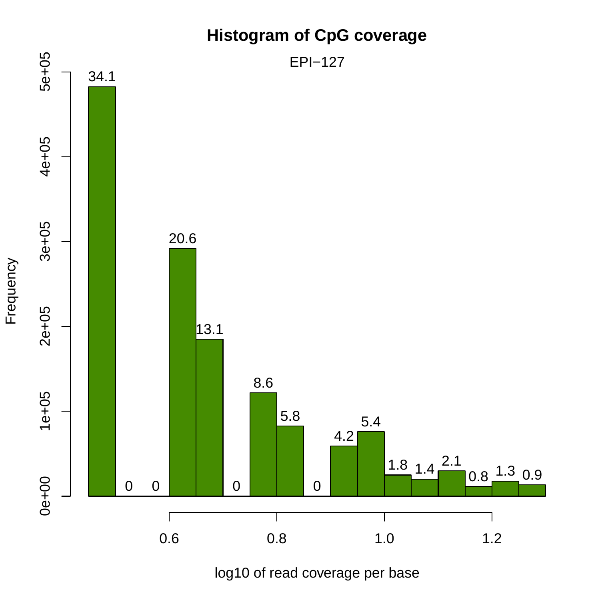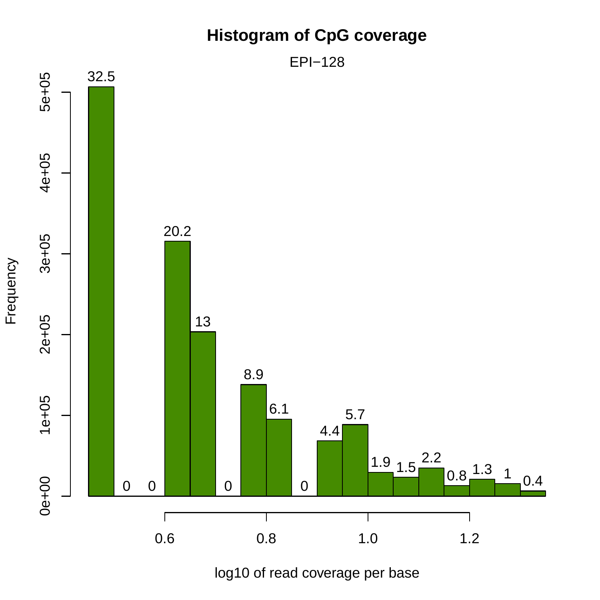

log10 of read coverage per base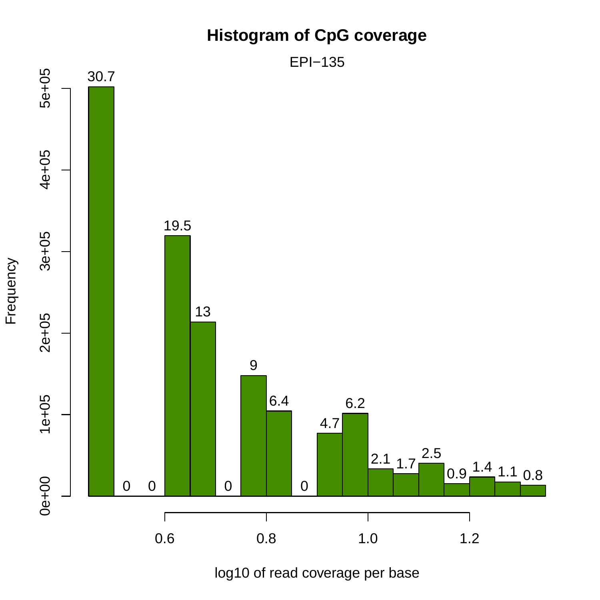### **Histogram of CpG coverage**



log10 of read coverage per base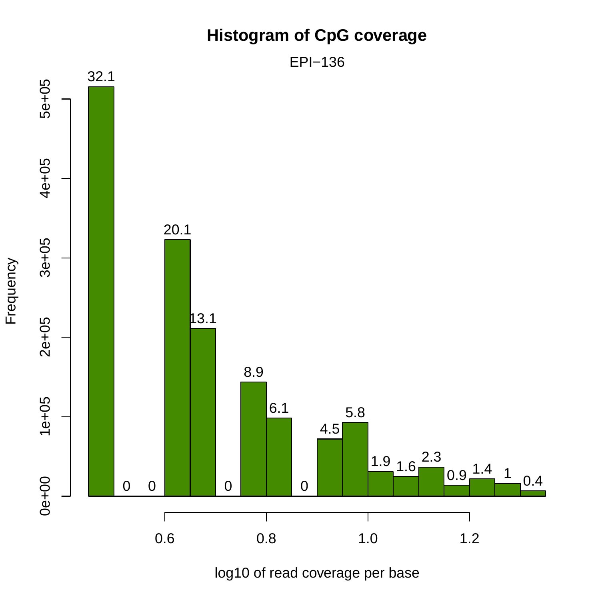### **Histogram of CpG coverage**



log10 of read coverage per base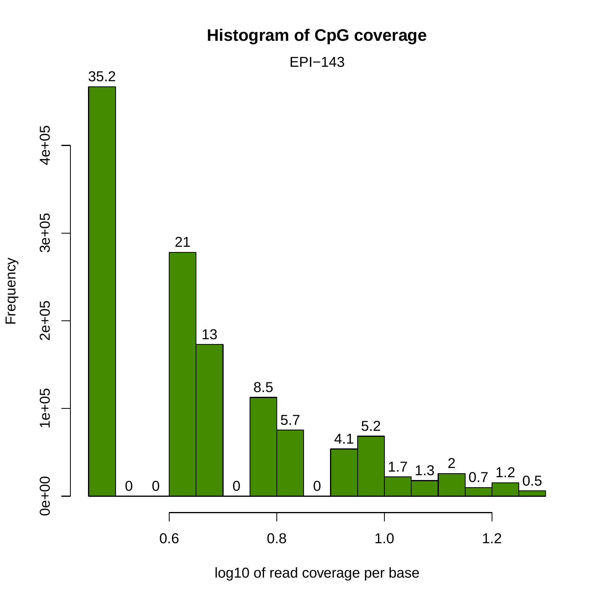

log10 of read coverage per base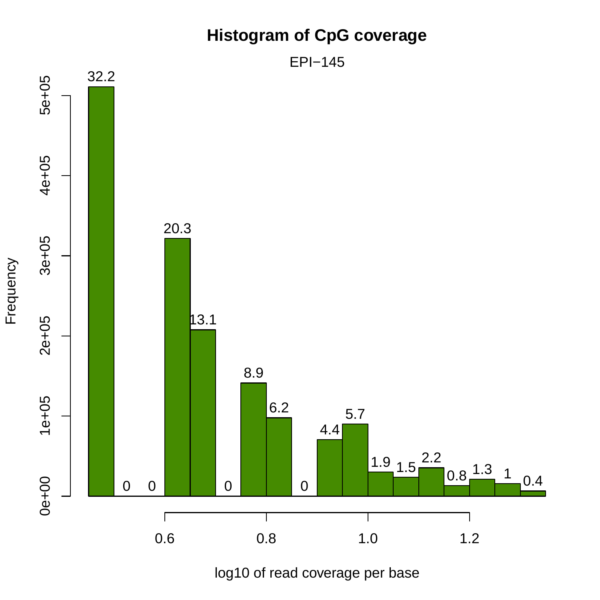### **Histogram of CpG coverage**



log10 of read coverage per base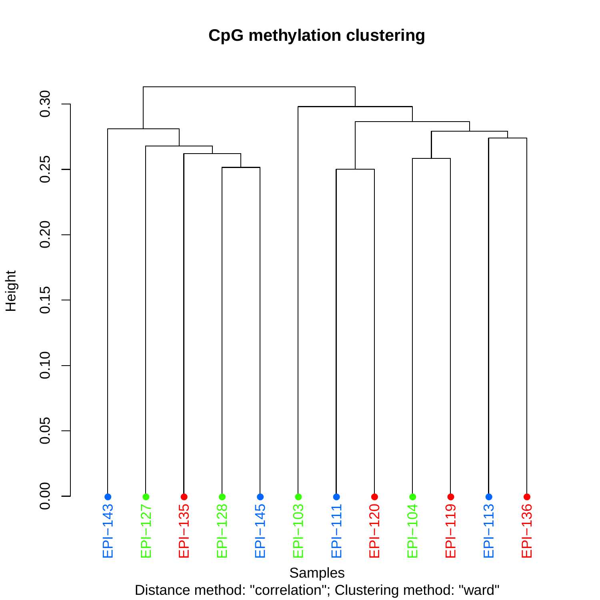### **CpG methylation clustering**